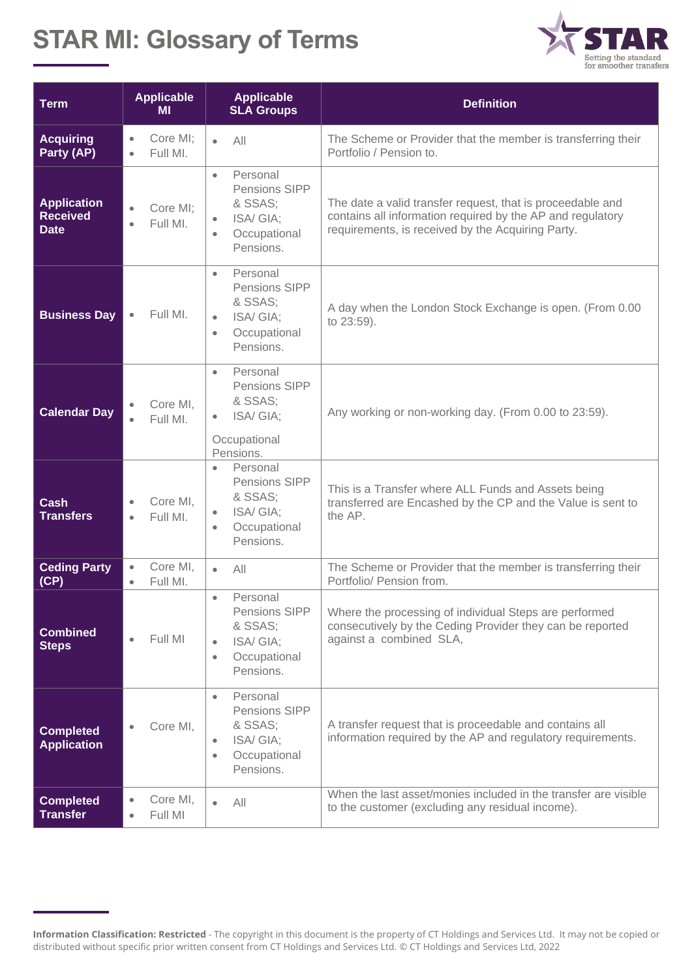## **STAR MI: Glossary of Terms**



| <b>Term</b>                                          | <b>Applicable</b><br><b>MI</b>                 | <b>Applicable</b><br><b>SLA Groups</b>                                                                               | <b>Definition</b>                                                                                                                                                             |
|------------------------------------------------------|------------------------------------------------|----------------------------------------------------------------------------------------------------------------------|-------------------------------------------------------------------------------------------------------------------------------------------------------------------------------|
| <b>Acquiring</b><br>Party (AP)                       | Core MI;<br>$\bullet$<br>Full ML<br>$\bullet$  | All<br>$\bullet$                                                                                                     | The Scheme or Provider that the member is transferring their<br>Portfolio / Pension to.                                                                                       |
| <b>Application</b><br><b>Received</b><br><b>Date</b> | Core MI;<br>$\bullet$<br>Full MI.<br>$\bullet$ | Personal<br>$\bullet$<br>Pensions SIPP<br>& SSAS;<br>ISA/GIA;<br>Occupational<br>$\bullet$<br>Pensions.              | The date a valid transfer request, that is proceedable and<br>contains all information required by the AP and regulatory<br>requirements, is received by the Acquiring Party. |
| <b>Business Day</b>                                  | Full MI.<br>$\bullet$                          | Personal<br>$\bullet$<br>Pensions SIPP<br>& SSAS;<br>ISA/GIA;<br>$\bullet$<br>Occupational<br>$\bullet$<br>Pensions. | A day when the London Stock Exchange is open. (From 0.00<br>to 23:59).                                                                                                        |
| <b>Calendar Day</b>                                  | Core MI,<br>$\bullet$<br>Full MI.<br>$\bullet$ | Personal<br>$\bullet$<br>Pensions SIPP<br>& SSAS;<br>ISA/GIA;<br>Occupational<br>Pensions.                           | Any working or non-working day. (From 0.00 to 23:59).                                                                                                                         |
| Cash<br><b>Transfers</b>                             | Core MI,<br>$\bullet$<br>Full MI.<br>$\bullet$ | Personal<br>$\bullet$<br>Pensions SIPP<br>& SSAS;<br>ISA/GIA;<br>$\bullet$<br>Occupational<br>$\bullet$<br>Pensions. | This is a Transfer where ALL Funds and Assets being<br>transferred are Encashed by the CP and the Value is sent to<br>the AP.                                                 |
| <b>Ceding Party</b><br>(CP)                          | Core MI,<br>$\bullet$<br>Full MI.<br>$\bullet$ | All<br>$\bullet$                                                                                                     | The Scheme or Provider that the member is transferring their<br>Portfolio/ Pension from.                                                                                      |
| <b>Combined</b><br><b>Steps</b>                      | Full MI<br>$\bullet$                           | Personal<br>$\bullet$<br>Pensions SIPP<br>& SSAS;<br>ISA/GIA;<br>$\bullet$<br>Occupational<br>$\bullet$<br>Pensions. | Where the processing of individual Steps are performed<br>consecutively by the Ceding Provider they can be reported<br>against a combined SLA,                                |
| <b>Completed</b><br><b>Application</b>               | Core MI,                                       | Personal<br>$\bullet$<br>Pensions SIPP<br>& SSAS;<br>ISA/GIA;<br>$\bullet$<br>Occupational<br>$\bullet$<br>Pensions. | A transfer request that is proceedable and contains all<br>information required by the AP and regulatory requirements.                                                        |
| <b>Completed</b><br><b>Transfer</b>                  | Core MI,<br>$\bullet$<br>Full MI<br>$\bullet$  | All<br>$\bullet$                                                                                                     | When the last asset/monies included in the transfer are visible<br>to the customer (excluding any residual income).                                                           |

**Information Classification: Restricted** - The copyright in this document is the property of CT Holdings and Services Ltd. It may not be copied or distributed without specific prior written consent from CT Holdings and Services Ltd. © CT Holdings and Services Ltd, 2022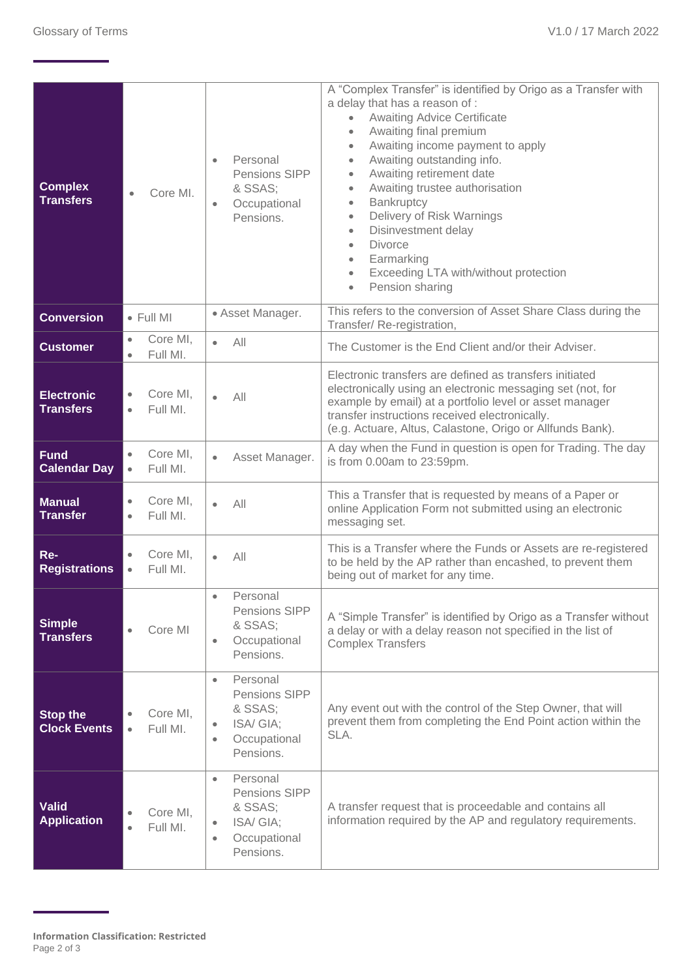| <b>Complex</b><br><b>Transfers</b>     | Core MI.<br>$\bullet$                          | Personal<br>$\bullet$<br>Pensions SIPP<br>& SSAS;<br>Occupational<br>$\bullet$<br>Pensions.                          | A "Complex Transfer" is identified by Origo as a Transfer with<br>a delay that has a reason of :<br><b>Awaiting Advice Certificate</b><br>$\bullet$<br>Awaiting final premium<br>$\bullet$<br>Awaiting income payment to apply<br>$\bullet$<br>Awaiting outstanding info.<br>$\bullet$<br>Awaiting retirement date<br>$\bullet$<br>Awaiting trustee authorisation<br>$\bullet$<br>Bankruptcy<br>$\bullet$<br>Delivery of Risk Warnings<br>$\bullet$<br>Disinvestment delay<br>$\bullet$<br><b>Divorce</b><br>$\bullet$<br>Earmarking<br>$\bullet$<br>Exceeding LTA with/without protection<br>$\bullet$<br>Pension sharing<br>$\bullet$ |
|----------------------------------------|------------------------------------------------|----------------------------------------------------------------------------------------------------------------------|-----------------------------------------------------------------------------------------------------------------------------------------------------------------------------------------------------------------------------------------------------------------------------------------------------------------------------------------------------------------------------------------------------------------------------------------------------------------------------------------------------------------------------------------------------------------------------------------------------------------------------------------|
| <b>Conversion</b>                      | $\bullet$ Full MI                              | · Asset Manager.                                                                                                     | This refers to the conversion of Asset Share Class during the<br>Transfer/Re-registration,                                                                                                                                                                                                                                                                                                                                                                                                                                                                                                                                              |
| <b>Customer</b>                        | Core MI,<br>$\bullet$<br>Full MI.<br>$\bullet$ | All<br>$\bullet$                                                                                                     | The Customer is the End Client and/or their Adviser.                                                                                                                                                                                                                                                                                                                                                                                                                                                                                                                                                                                    |
| <b>Electronic</b><br><b>Transfers</b>  | Core MI,<br>$\bullet$<br>Full MI.<br>$\bullet$ | $\bullet$<br>All                                                                                                     | Electronic transfers are defined as transfers initiated<br>electronically using an electronic messaging set (not, for<br>example by email) at a portfolio level or asset manager<br>transfer instructions received electronically.<br>(e.g. Actuare, Altus, Calastone, Origo or Allfunds Bank).                                                                                                                                                                                                                                                                                                                                         |
| <b>Fund</b><br><b>Calendar Day</b>     | Core MI,<br>$\bullet$<br>Full MI.<br>$\bullet$ | Asset Manager.<br>$\bullet$                                                                                          | A day when the Fund in question is open for Trading. The day<br>is from 0.00am to 23:59pm.                                                                                                                                                                                                                                                                                                                                                                                                                                                                                                                                              |
| <b>Manual</b><br><b>Transfer</b>       | Core MI,<br>Full MI.<br>٠                      | All<br>$\bullet$                                                                                                     | This a Transfer that is requested by means of a Paper or<br>online Application Form not submitted using an electronic<br>messaging set.                                                                                                                                                                                                                                                                                                                                                                                                                                                                                                 |
| Re-<br><b>Registrations</b>            | Core MI,<br>Full MI.<br>$\bullet$              | $\bullet$<br>All                                                                                                     | This is a Transfer where the Funds or Assets are re-registered<br>to be held by the AP rather than encashed, to prevent them<br>being out of market for any time.                                                                                                                                                                                                                                                                                                                                                                                                                                                                       |
| <b>Simple</b><br><b>Transfers</b>      | Core MI                                        | Personal<br>$\bullet$<br>Pensions SIPP<br>& SSAS;<br>Occupational<br>$\bullet$<br>Pensions.                          | A "Simple Transfer" is identified by Origo as a Transfer without<br>a delay or with a delay reason not specified in the list of<br><b>Complex Transfers</b>                                                                                                                                                                                                                                                                                                                                                                                                                                                                             |
| <b>Stop the</b><br><b>Clock Events</b> | Core MI,<br>Full MI.<br>$\bullet$              | Personal<br>$\bullet$<br>Pensions SIPP<br>& SSAS:<br>ISA/GIA;<br>Occupational<br>٠<br>Pensions.                      | Any event out with the control of the Step Owner, that will<br>prevent them from completing the End Point action within the<br>SLA.                                                                                                                                                                                                                                                                                                                                                                                                                                                                                                     |
| <b>Valid</b><br><b>Application</b>     | Core MI,<br>Full MI.<br>$\bullet$              | Personal<br>$\bullet$<br>Pensions SIPP<br>& SSAS;<br>ISA/GIA;<br>$\bullet$<br>Occupational<br>$\bullet$<br>Pensions. | A transfer request that is proceedable and contains all<br>information required by the AP and regulatory requirements.                                                                                                                                                                                                                                                                                                                                                                                                                                                                                                                  |